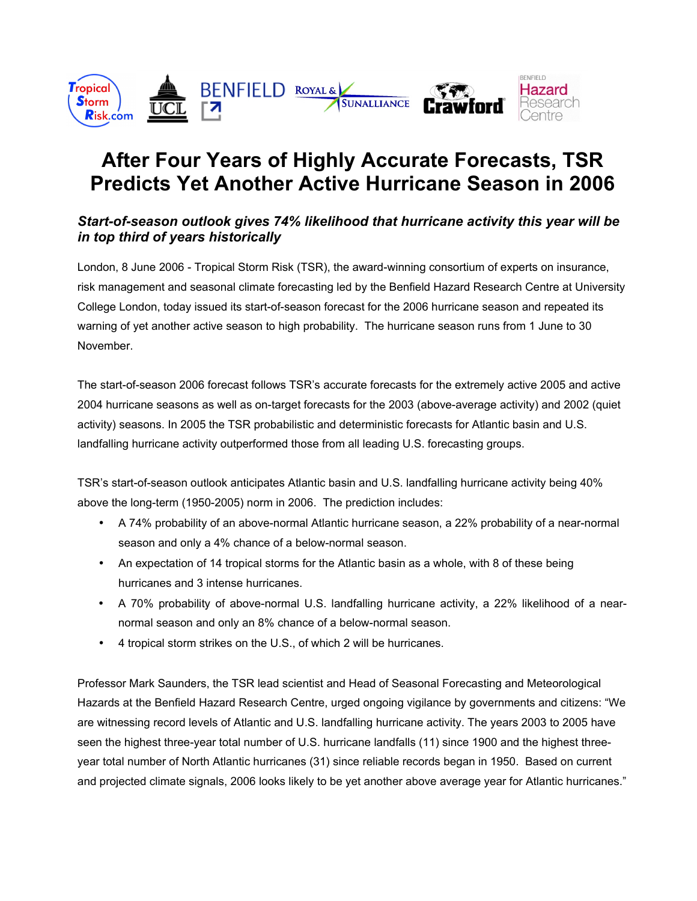

# **After Four Years of Highly Accurate Forecasts, TSR Predicts Yet Another Active Hurricane Season in 2006**

# *Start-of-season outlook gives 74% likelihood that hurricane activity this year will be in top third of years historically*

London, 8 June 2006 - Tropical Storm Risk (TSR), the award-winning consortium of experts on insurance, risk management and seasonal climate forecasting led by the Benfield Hazard Research Centre at University College London, today issued its start-of-season forecast for the 2006 hurricane season and repeated its warning of yet another active season to high probability. The hurricane season runs from 1 June to 30 November.

The start-of-season 2006 forecast follows TSR's accurate forecasts for the extremely active 2005 and active 2004 hurricane seasons as well as on-target forecasts for the 2003 (above-average activity) and 2002 (quiet activity) seasons. In 2005 the TSR probabilistic and deterministic forecasts for Atlantic basin and U.S. landfalling hurricane activity outperformed those from all leading U.S. forecasting groups.

TSR's start-of-season outlook anticipates Atlantic basin and U.S. landfalling hurricane activity being 40% above the long-term (1950-2005) norm in 2006. The prediction includes:

- A 74% probability of an above-normal Atlantic hurricane season, a 22% probability of a near-normal season and only a 4% chance of a below-normal season.
- An expectation of 14 tropical storms for the Atlantic basin as a whole, with 8 of these being hurricanes and 3 intense hurricanes.
- A 70% probability of above-normal U.S. landfalling hurricane activity, a 22% likelihood of a nearnormal season and only an 8% chance of a below-normal season.
- 4 tropical storm strikes on the U.S., of which 2 will be hurricanes.

Professor Mark Saunders, the TSR lead scientist and Head of Seasonal Forecasting and Meteorological Hazards at the Benfield Hazard Research Centre, urged ongoing vigilance by governments and citizens: "We are witnessing record levels of Atlantic and U.S. landfalling hurricane activity. The years 2003 to 2005 have seen the highest three-year total number of U.S. hurricane landfalls (11) since 1900 and the highest threeyear total number of North Atlantic hurricanes (31) since reliable records began in 1950. Based on current and projected climate signals, 2006 looks likely to be yet another above average year for Atlantic hurricanes."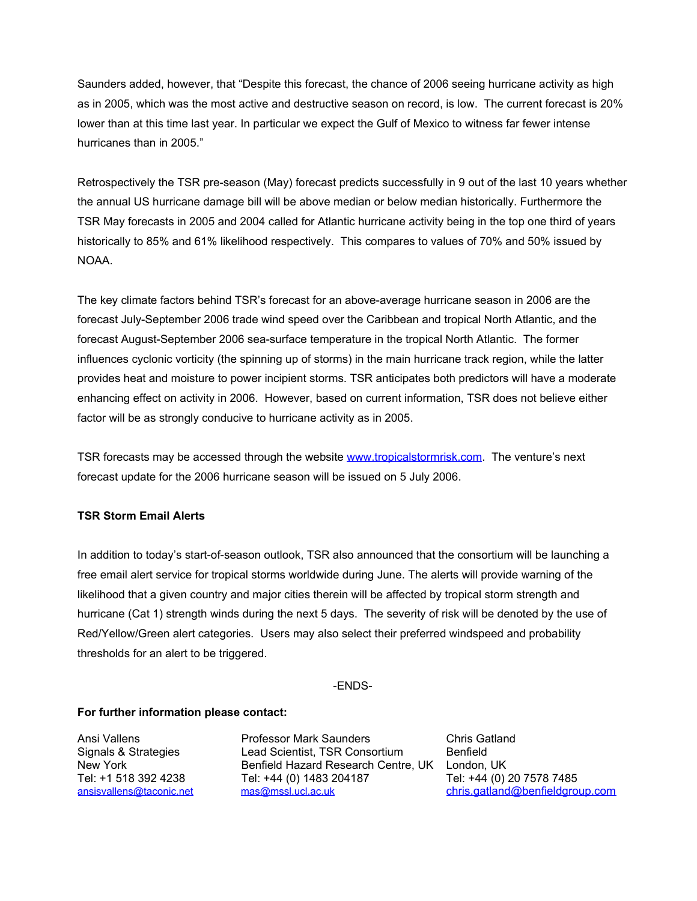Saunders added, however, that "Despite this forecast, the chance of 2006 seeing hurricane activity as high as in 2005, which was the most active and destructive season on record, is low. The current forecast is 20% lower than at this time last year. In particular we expect the Gulf of Mexico to witness far fewer intense hurricanes than in 2005."

Retrospectively the TSR pre-season (May) forecast predicts successfully in 9 out of the last 10 years whether the annual US hurricane damage bill will be above median or below median historically. Furthermore the TSR May forecasts in 2005 and 2004 called for Atlantic hurricane activity being in the top one third of years historically to 85% and 61% likelihood respectively. This compares to values of 70% and 50% issued by NOAA.

The key climate factors behind TSR's forecast for an above-average hurricane season in 2006 are the forecast July-September 2006 trade wind speed over the Caribbean and tropical North Atlantic, and the forecast August-September 2006 sea-surface temperature in the tropical North Atlantic. The former influences cyclonic vorticity (the spinning up of storms) in the main hurricane track region, while the latter provides heat and moisture to power incipient storms. TSR anticipates both predictors will have a moderate enhancing effect on activity in 2006. However, based on current information, TSR does not believe either factor will be as strongly conducive to hurricane activity as in 2005.

TSR forecasts may be accessed through the website [www.tropicalstormrisk.com.](http://www.tropicalstormrisk.com/) The venture's next forecast update for the 2006 hurricane season will be issued on 5 July 2006.

# **TSR Storm Email Alerts**

In addition to today's start-of-season outlook, TSR also announced that the consortium will be launching a free email alert service for tropical storms worldwide during June. The alerts will provide warning of the likelihood that a given country and major cities therein will be affected by tropical storm strength and hurricane (Cat 1) strength winds during the next 5 days. The severity of risk will be denoted by the use of Red/Yellow/Green alert categories. Users may also select their preferred windspeed and probability thresholds for an alert to be triggered.

#### -ENDS-

#### **For further information please contact:**

Ansi Vallens Professor Mark Saunders Chris Gatland Signals & Strategies Lead Scientist, TSR Consortium Benfield New York Benfield Hazard Research Centre, UK London, UK Tel: +1 518 392 4238 Tel: +44 (0) 1483 204187 Tel: +44 (0) 20 7578 7485 [ansisvallens@taconic.net](mailto:ansisvallens@taconic.net) [mas@mssl.ucl.ac.uk](mailto:mas@mssl.ucl.ac.uk) [chris.gatland@benfieldgroup.com](mailto:chris.gatland@benfieldgroup.com)